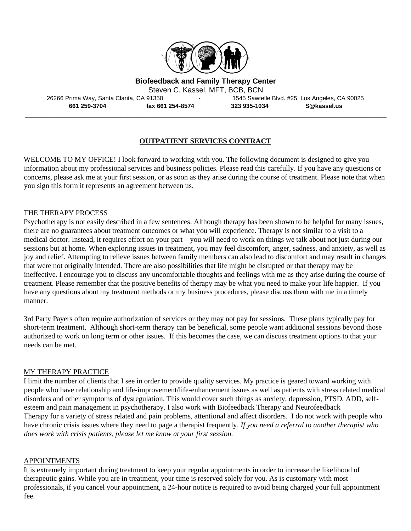

**Biofeedback and Family Therapy Center**

Steven C. Kassel, MFT, BCB, BCN

26266 Prima Way, Santa Clarita, CA 91350 - 1545 Sawtelle Blvd. #25, Los Angeles, CA 90025 **661 259-3704 fax 661 254-8574 323 935-1034 S@kassel.us**

# **OUTPATIENT SERVICES CONTRACT**

**\_\_\_\_\_\_\_\_\_\_\_\_\_\_\_\_\_\_\_\_\_\_\_\_\_\_\_\_\_\_\_\_\_\_\_\_\_\_\_\_\_\_\_\_\_\_\_\_\_\_\_\_\_\_\_\_\_\_\_\_\_\_\_\_\_\_\_\_\_\_\_\_\_\_\_\_\_\_\_\_\_\_\_\_\_\_\_\_\_\_\_\_\_\_\_\_\_\_**

WELCOME TO MY OFFICE! I look forward to working with you. The following document is designed to give you information about my professional services and business policies. Please read this carefully. If you have any questions or concerns, please ask me at your first session, or as soon as they arise during the course of treatment. Please note that when you sign this form it represents an agreement between us.

### THE THERAPY PROCESS

Psychotherapy is not easily described in a few sentences. Although therapy has been shown to be helpful for many issues, there are no guarantees about treatment outcomes or what you will experience. Therapy is not similar to a visit to a medical doctor. Instead, it requires effort on your part – you will need to work on things we talk about not just during our sessions but at home. When exploring issues in treatment, you may feel discomfort, anger, sadness, and anxiety, as well as joy and relief. Attempting to relieve issues between family members can also lead to discomfort and may result in changes that were not originally intended. There are also possibilities that life might be disrupted or that therapy may be ineffective. I encourage you to discuss any uncomfortable thoughts and feelings with me as they arise during the course of treatment. Please remember that the positive benefits of therapy may be what you need to make your life happier. If you have any questions about my treatment methods or my business procedures, please discuss them with me in a timely manner.

3rd Party Payers often require authorization of services or they may not pay for sessions. These plans typically pay for short-term treatment. Although short-term therapy can be beneficial, some people want additional sessions beyond those authorized to work on long term or other issues. If this becomes the case, we can discuss treatment options to that your needs can be met.

#### MY THERAPY PRACTICE

I limit the number of clients that I see in order to provide quality services. My practice is geared toward working with people who have relationship and life-improvement/life-enhancement issues as well as patients with stress related medical disorders and other symptoms of dysregulation. This would cover such things as anxiety, depression, PTSD, ADD, selfesteem and pain management in psychotherapy. I also work with Biofeedback Therapy and Neurofeedback Therapy for a variety of stress related and pain problems, attentional and affect disorders. I do not work with people who have chronic crisis issues where they need to page a therapist frequently. *If you need a referral to another therapist who does work with crisis patients, please let me know at your first session.* 

#### APPOINTMENTS

It is extremely important during treatment to keep your regular appointments in order to increase the likelihood of therapeutic gains. While you are in treatment, your time is reserved solely for you. As is customary with most professionals, if you cancel your appointment, a 24-hour notice is required to avoid being charged your full appointment fee.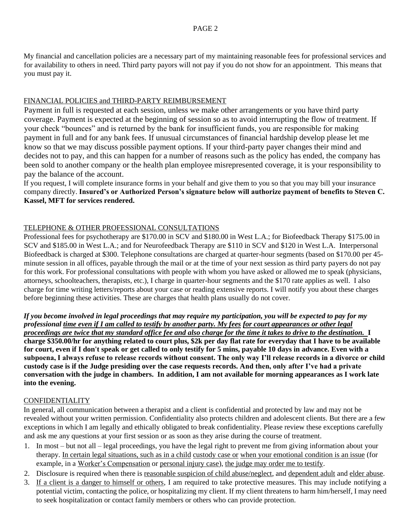My financial and cancellation policies are a necessary part of my maintaining reasonable fees for professional services and for availability to others in need. Third party payors will not pay if you do not show for an appointment. This means that you must pay it.

# FINANCIAL POLICIES and THIRD-PARTY REIMBURSEMENT

Payment in full is requested at each session, unless we make other arrangements or you have third party coverage. Payment is expected at the beginning of session so as to avoid interrupting the flow of treatment. If your check "bounces" and is returned by the bank for insufficient funds, you are responsible for making payment in full and for any bank fees. If unusual circumstances of financial hardship develop please let me know so that we may discuss possible payment options. If your third-party payer changes their mind and decides not to pay, and this can happen for a number of reasons such as the policy has ended, the company has been sold to another company or the health plan employee misrepresented coverage, it is your responsibility to pay the balance of the account.

If you request, I will complete insurance forms in your behalf and give them to you so that you may bill your insurance company directly. **Insured's or Authorized Person's signature below will authorize payment of benefits to Steven C. Kassel, MFT for services rendered.** 

# TELEPHONE & OTHER PROFESSIONAL CONSULTATIONS

Professional fees for psychotherapy are \$170.00 in SCV and \$180.00 in West L.A.; for Biofeedback Therapy \$175.00 in SCV and \$185.00 in West L.A.; and for Neurofeedback Therapy are \$110 in SCV and \$120 in West L.A. Interpersonal Biofeedback is charged at \$300. Telephone consultations are charged at quarter-hour segments (based on \$170.00 per 45 minute session in all offices, payable through the mail or at the time of your next session as third party payers do not pay for this work. For professional consultations with people with whom you have asked or allowed me to speak (physicians, attorneys, schoolteachers, therapists, etc.), I charge in quarter-hour segments and the \$170 rate applies as well. I also charge for time writing letters/reports about your case or reading extensive reports. I will notify you about these charges before beginning these activities. These are charges that health plans usually do not cover.

*If you become involved in legal proceedings that may require my participation, you will be expected to pay for my professional time even if I am called to testify by another party. My fees for court appearances or other legal proceedings are twice that my standard office fee and also charge for the time it takes to drive to the destination.* **I charge \$350.00/hr for anything related to court plus, \$2k per day flat rate for everyday that I have to be available for court, even if I don't speak or get called to only testify for 5 mins, payable 10 days in advance. Even with a subpoena, I always refuse to release records without consent. The only way I'll release records in a divorce or child custody case is if the Judge presiding over the case requests records. And then, only after I've had a private conversation with the judge in chambers. In addition, I am not available for morning appearances as I work late into the evening.**

# CONFIDENTIALITY

In general, all communication between a therapist and a client is confidential and protected by law and may not be revealed without your written permission. Confidentiality also protects children and adolescent clients. But there are a few exceptions in which I am legally and ethically obligated to break confidentiality. Please review these exceptions carefully and ask me any questions at your first session or as soon as they arise during the course of treatment.

- 1. In most but not all legal proceedings, you have the legal right to prevent me from giving information about your therapy. In certain legal situations, such as in a child custody case or when your emotional condition is an issue (for example, in a Worker's Compensation or personal injury case), the judge may order me to testify.
- 2. Disclosure is required when there is reasonable suspicion of child abuse/neglect, and dependent adult and elder abuse.
- 3. If a client is a danger to himself or others, I am required to take protective measures. This may include notifying a potential victim, contacting the police, or hospitalizing my client. If my client threatens to harm him/herself, I may need to seek hospitalization or contact family members or others who can provide protection.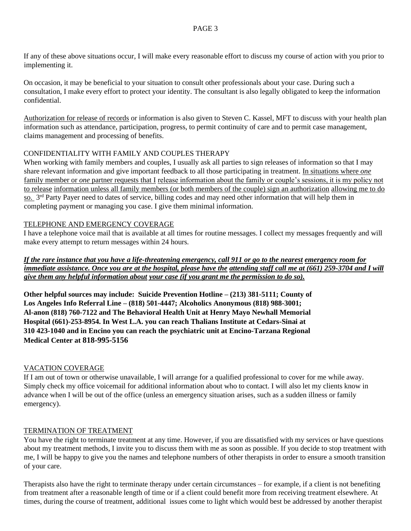If any of these above situations occur, I will make every reasonable effort to discuss my course of action with you prior to implementing it.

On occasion, it may be beneficial to your situation to consult other professionals about your case. During such a consultation, I make every effort to protect your identity. The consultant is also legally obligated to keep the information confidential.

Authorization for release of records or information is also given to Steven C. Kassel, MFT to discuss with your health plan information such as attendance, participation, progress, to permit continuity of care and to permit case management, claims management and processing of benefits.

# CONFIDENTIALITY WITH FAMILY AND COUPLES THERAPY

When working with family members and couples, I usually ask all parties to sign releases of information so that I may share relevant information and give important feedback to all those participating in treatment. In situations where *one*  family member or *one* partner requests that I release information about the family or couple's sessions, it is my policy not to release information unless all family members (or both members of the couple) sign an authorization allowing me to do so. 3<sup>rd</sup> Party Payer need to dates of service, billing codes and may need other information that will help them in completing payment or managing you case. I give them minimal information.

## TELEPHONE AND EMERGENCY COVERAGE

I have a telephone voice mail that is available at all times for routine messages. I collect my messages frequently and will make every attempt to return messages within 24 hours.

*If the rare instance that you have a life-threatening emergency, call 911 or go to the nearest emergency room for immediate assistance. Once you are at the hospital, please have the attending staff call me at (661) 259-3704 and I will give them any helpful information about your case (if you grant me the permission to do so).*

**Other helpful sources may include: Suicide Prevention Hotline – (213) 381-5111; County of Los Angeles Info Referral Line – (818) 501-4447; Alcoholics Anonymous (818) 988-3001; Al-anon (818) 760-7122 and The Behavioral Health Unit at Henry Mayo Newhall Memorial Hospital (661)-253-8954. In West L.A. you can reach Thalians Institute at Cedars-Sinai at 310 423-1040 and in Encino you can reach the psychiatric unit at Encino-Tarzana Regional Medical Center at 818-995-5156**

## VACATION COVERAGE

If I am out of town or otherwise unavailable, I will arrange for a qualified professional to cover for me while away. Simply check my office voicemail for additional information about who to contact. I will also let my clients know in advance when I will be out of the office (unless an emergency situation arises, such as a sudden illness or family emergency).

## TERMINATION OF TREATMENT

You have the right to terminate treatment at any time. However, if you are dissatisfied with my services or have questions about my treatment methods, I invite you to discuss them with me as soon as possible. If you decide to stop treatment with me, I will be happy to give you the names and telephone numbers of other therapists in order to ensure a smooth transition of your care.

Therapists also have the right to terminate therapy under certain circumstances – for example, if a client is not benefiting from treatment after a reasonable length of time or if a client could benefit more from receiving treatment elsewhere. At times, during the course of treatment, additional issues come to light which would best be addressed by another therapist